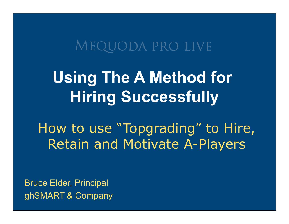### MEQUODA PRO LIVE

# **Using The A Method for Hiring Successfully**

How to use "Topgrading" to Hire, Retain and Motivate A-Players

Bruce Elder, Principal ghSMART & Company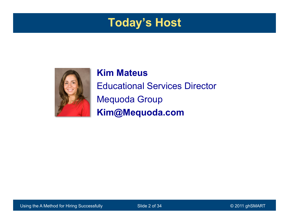#### **Today's Host**



#### **Kim Mateus**  Educational Services Director Mequoda Group **Kim@Mequoda.com**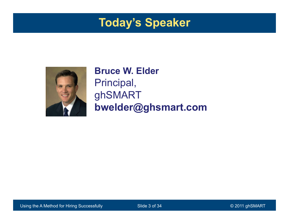#### **Today's Speaker**



#### **Bruce W. Elder**  Principal, ghSMART **bwelder@ghsmart.com**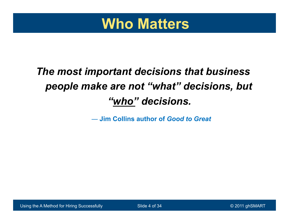

#### *The most important decisions that business people make are not "what" decisions, but "who" decisions.*

― **Jim Collins author of** *Good to Great*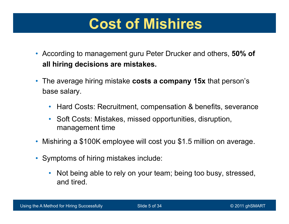### **Cost of Mishires**

- According to management guru Peter Drucker and others, **50% of all hiring decisions are mistakes.**
- The average hiring mistake **costs a company 15x** that person's base salary.
	- Hard Costs: Recruitment, compensation & benefits, severance
	- Soft Costs: Mistakes, missed opportunities, disruption, management time
- Mishiring a \$100K employee will cost you \$1.5 million on average.
- Symptoms of hiring mistakes include:
	- Not being able to rely on your team; being too busy, stressed, and tired.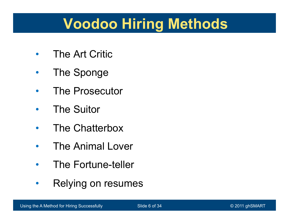# **Voodoo Hiring Methods**

- The Art Critic
- The Sponge
- The Prosecutor
- The Suitor
- The Chatterbox
- The Animal Lover
- The Fortune-teller
- Relying on resumes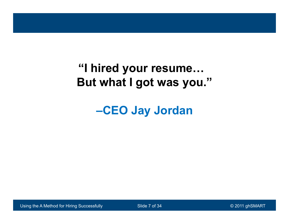#### **"I hired your resume… But what I got was you."**

**–CEO Jay Jordan**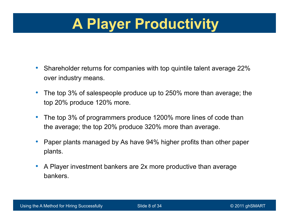# **A Player Productivity**

- Shareholder returns for companies with top quintile talent average 22% over industry means.
- The top 3% of salespeople produce up to 250% more than average; the top 20% produce 120% more.
- The top 3% of programmers produce 1200% more lines of code than the average; the top 20% produce 320% more than average.
- Paper plants managed by As have 94% higher profits than other paper plants.
- A Player investment bankers are 2x more productive than average bankers.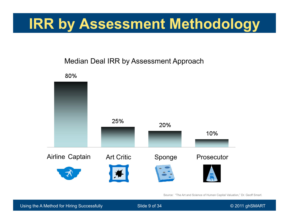## **IRR by Assessment Methodology**

#### Median Deal IRR by Assessment Approach



Source: "The Art and Science of Human Capital Valuation," Dr. Geoff Smart.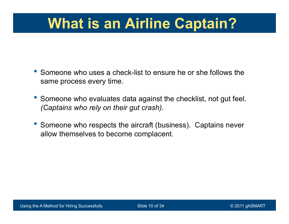# **What is an Airline Captain?**

- Someone who uses a check-list to ensure he or she follows the same process every time.
- Someone who evaluates data against the checklist, not gut feel. *(Captains who rely on their gut crash).*
- Someone who respects the aircraft (business). Captains never allow themselves to become complacent.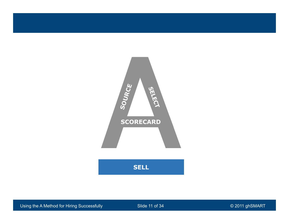

Using the A Method for Hiring Successfully Slide 11 of 34 COM CONTEXT CONTEXT CONTEXT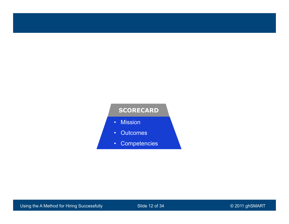#### **SCORECARD**

- Mission
- Outcomes
- Competencies

Using the A Method for Hiring Successfully Slide 12 of 34 COM CONTEXT CONTEXT CONTEXT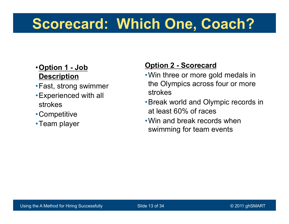## **Scorecard: Which One, Coach?**

#### •**Option 1 - Job Description**

- •Fast, strong swimmer
- •Experienced with all strokes
- •Competitive
- •Team player

#### **Option 2 - Scorecard**

- •Win three or more gold medals in the Olympics across four or more strokes
- •Break world and Olympic records in at least 60% of races
- •Win and break records when swimming for team events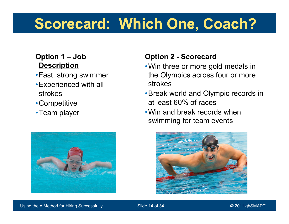# **Scorecard: Which One, Coach?**

#### **Option 1 – Job Description**

- •Fast, strong swimmer
- •Experienced with all strokes
- •Competitive
- •Team player



#### **Option 2 - Scorecard**

- •Win three or more gold medals in the Olympics across four or more strokes
- •Break world and Olympic records in at least 60% of races
- •Win and break records when swimming for team events

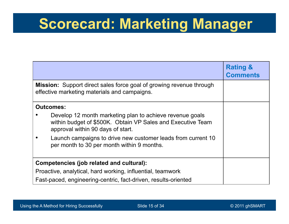### **Scorecard: Marketing Manager**

|                                                                                                                                                              | <b>Rating &amp;</b><br><b>Comments</b> |
|--------------------------------------------------------------------------------------------------------------------------------------------------------------|----------------------------------------|
| Mission: Support direct sales force goal of growing revenue through<br>effective marketing materials and campaigns.                                          |                                        |
| <b>Outcomes:</b>                                                                                                                                             |                                        |
| Develop 12 month marketing plan to achieve revenue goals<br>within budget of \$500K. Obtain VP Sales and Executive Team<br>approval within 90 days of start. |                                        |
| Launch campaigns to drive new customer leads from current 10<br>per month to 30 per month within 9 months.                                                   |                                        |
| Competencies (job related and cultural):                                                                                                                     |                                        |
| Proactive, analytical, hard working, influential, teamwork                                                                                                   |                                        |
| Fast-paced, engineering-centric, fact-driven, results-oriented                                                                                               |                                        |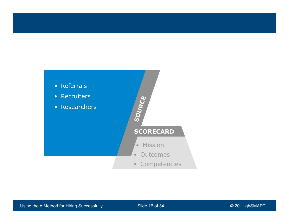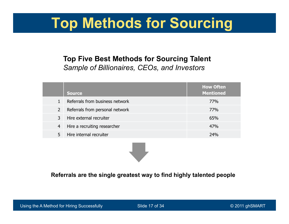## **Top Methods for Sourcing**

#### **Top Five Best Methods for Sourcing Talent** *Sample of Billionaires, CEOs, and Investors*

|                | <b>Source</b>                   | <b>How Often</b><br><b>Mentioned</b> |
|----------------|---------------------------------|--------------------------------------|
|                | Referrals from business network | 77%                                  |
| $\overline{2}$ | Referrals from personal network | 77%                                  |
| 3              | Hire external recruiter         | 65%                                  |
| $\overline{4}$ | Hire a recruiting researcher    | 47%                                  |
| 5              | Hire internal recruiter         | 24%                                  |

**Referrals are the single greatest way to find highly talented people**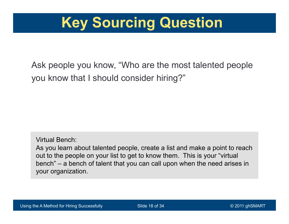

Ask people you know, "Who are the most talented people you know that I should consider hiring?"

Virtual Bench: As you learn about talented people, create a list and make a point to reach out to the people on your list to get to know them. This is your "virtual bench" – a bench of talent that you can call upon when the need arises in your organization.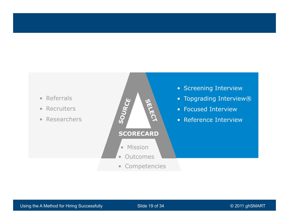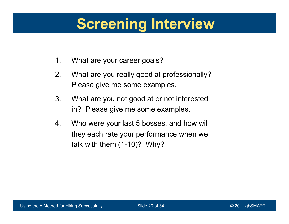## **Screening Interview**

- 1. What are your career goals?
- 2. What are you really good at professionally? Please give me some examples.
- 3. What are you not good at or not interested in? Please give me some examples.
- 4. Who were your last 5 bosses, and how will they each rate your performance when we talk with them (1-10)? Why?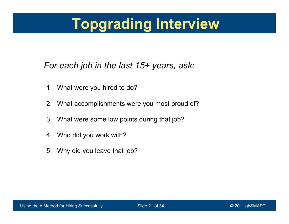# **Topgrading Interview**

#### *For each job in the last 15+ years, ask:*

- 1. What were you hired to do?
- 2. What accomplishments were you most proud of?
- 3. What were some low points during that job?
- 4. Who did you work with?
- 5. Why did you leave that job?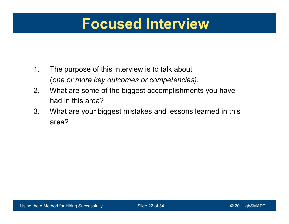#### **Focused Interview**

- 1. The purpose of this interview is to talk about \_\_\_\_\_\_\_\_\_\_\_\_\_\_\_\_\_\_\_\_\_\_\_\_\_\_\_\_\_\_ (*one or more key outcomes or competencies).*
- 2. What are some of the biggest accomplishments you have had in this area?
- 3. What are your biggest mistakes and lessons learned in this area?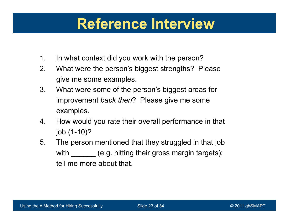### **Reference Interview**

- 1. In what context did you work with the person?
- 2. What were the person's biggest strengths? Please give me some examples.
- 3. What were some of the person's biggest areas for improvement *back then*? Please give me some examples.
- 4. How would you rate their overall performance in that job (1-10)?
- 5. The person mentioned that they struggled in that job with \_\_\_\_\_\_ (e.g. hitting their gross margin targets); tell me more about that.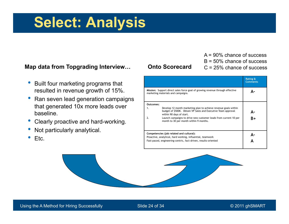### **Select: Analysis**

#### **Map data from Topgrading Interview…**

- Built four marketing programs that resulted in revenue growth of 15%.
- Ran seven lead generation campaigns that generated 10x more leads over baseline.
- Clearly proactive and hard-working.
- Not particularly analytical.
- Etc.

#### **Onto Scorecard**

A = 90% chance of success B = 50% chance of success C = 25% chance of success

|                                                                                                                                                                                                                                                                                                                        | <b>Rating &amp;</b><br><b>Comments</b> |
|------------------------------------------------------------------------------------------------------------------------------------------------------------------------------------------------------------------------------------------------------------------------------------------------------------------------|----------------------------------------|
| Mission: Support direct sales force goal of growing revenue through effective<br>marketing materials and campaigns.                                                                                                                                                                                                    | Δ.                                     |
| Outcomes:<br>Develop 12 month marketing plan to achieve revenue goals within<br>1.<br>budget of \$500K. Obtain VP Sales and Executive Team approval<br>within 90 days of start.<br>Launch campaigns to drive new customer leads from current 10 per<br>$\mathcal{P}_{\cdot}$<br>month to 30 per month within 9 months. | Δ.<br>B+                               |
| Competencies (job related and cultural):<br>Proactive, analytical, hard working, influential, teamwork<br>Fast-paced, engineering-centric, fact-driven, results-oriented                                                                                                                                               |                                        |

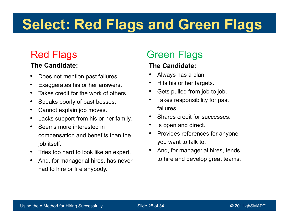# **Select: Red Flags and Green Flags**

#### Red Flags

#### **The Candidate:**

- Does not mention past failures.
- Exaggerates his or her answers.
- Takes credit for the work of others.
- Speaks poorly of past bosses.
- Cannot explain job moves.
- Lacks support from his or her family.
- Seems more interested in compensation and benefits than the job itself.
- Tries too hard to look like an expert.
- And, for managerial hires, has never had to hire or fire anybody.

#### Green Flags

#### **The Candidate:**

- Always has a plan.
- Hits his or her targets.
- Gets pulled from job to job.
- Takes responsibility for past failures.
- Shares credit for successes
- Is open and direct.
- Provides references for anyone you want to talk to.
- And, for managerial hires, tends to hire and develop great teams.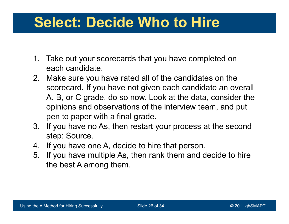## **Select: Decide Who to Hire**

- 1. Take out your scorecards that you have completed on each candidate.
- 2. Make sure you have rated all of the candidates on the scorecard. If you have not given each candidate an overall A, B, or C grade, do so now. Look at the data, consider the opinions and observations of the interview team, and put pen to paper with a final grade.
- 3. If you have no As, then restart your process at the second step: Source.
- 4. If you have one A, decide to hire that person.
- 5. If you have multiple As, then rank them and decide to hire the best A among them.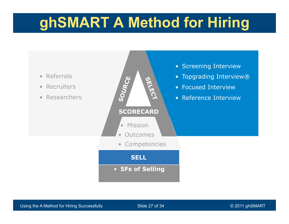# **ghSMART A Method for Hiring**

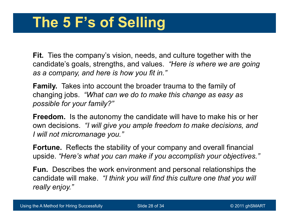**Fit.** Ties the company's vision, needs, and culture together with the candidate's goals, strengths, and values. *"Here is where we are going as a company, and here is how you fit in."* 

**Family.** Takes into account the broader trauma to the family of changing jobs. *"What can we do to make this change as easy as possible for your family?"* 

**Freedom.** Is the autonomy the candidate will have to make his or her own decisions. *"I will give you ample freedom to make decisions, and I will not micromanage you."* 

**Fortune.** Reflects the stability of your company and overall financial upside. *"Here's what you can make if you accomplish your objectives."* 

**Fun.** Describes the work environment and personal relationships the candidate will make. *"I think you will find this culture one that you will really enjoy."*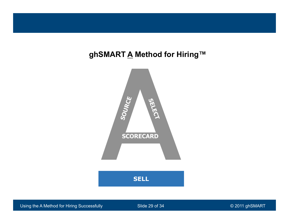#### **ghSMART A Method for Hiring™**



Using the A Method for Hiring Successfully Slide 29 of 34 © 2011 ghSMART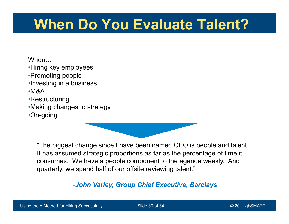# **When Do You Evaluate Talent?**

When…

•Hiring key employees

- •Promoting people
- •Investing in a business

•M&A

- •Restructuring
- •Making changes to strategy

•On-going

"The biggest change since I have been named CEO is people and talent. It has assumed strategic proportions as far as the percentage of time it consumes. We have a people component to the agenda weekly. And quarterly, we spend half of our offsite reviewing talent."

-*John Varley, Group Chief Executive, Barclays*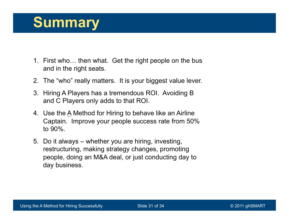### **Summary**

- 1. First who… then what. Get the right people on the bus and in the right seats.
- 2. The "who" really matters. It is your biggest value lever.
- 3. Hiring A Players has a tremendous ROI. Avoiding B and C Players only adds to that ROI.
- 4. Use the A Method for Hiring to behave like an Airline Captain. Improve your people success rate from 50% to 90%.
- 5. Do it always whether you are hiring, investing, restructuring, making strategy changes, promoting people, doing an M&A deal, or just conducting day to day business.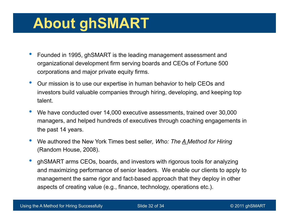## **About ghSMART**

- Founded in 1995, ghSMART is the leading management assessment and organizational development firm serving boards and CEOs of Fortune 500 corporations and major private equity firms.
- Our mission is to use our expertise in human behavior to help CEOs and investors build valuable companies through hiring, developing, and keeping top talent.
- We have conducted over 14,000 executive assessments, trained over 30,000 managers, and helped hundreds of executives through coaching engagements in the past 14 years.
- We authored the New York Times best seller*, Who: The A Method for Hiring*  (Random House, 2008).
- ghSMART arms CEOs, boards, and investors with rigorous tools for analyzing and maximizing performance of senior leaders. We enable our clients to apply to management the same rigor and fact-based approach that they deploy in other aspects of creating value (e.g., finance, technology, operations etc.).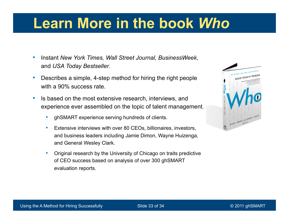### **Learn More in the book** *Who*

- Instant *New York Times, Wall Street Journal, BusinessWeek*, and *USA Today Bestseller.*
- Describes a simple, 4-step method for hiring the right people with a 90% success rate.
- Is based on the most extensive research, interviews, and experience ever assembled on the topic of talent management.
	- ghSMART experience serving hundreds of clients.
	- Extensive interviews with over 80 CEOs, billionaires, investors, and business leaders including Jamie Dimon, Wayne Huizenga, and General Wesley Clark.
	- Original research by the University of Chicago on traits predictive of CEO success based on analysis of over 300 ghSMART evaluation reports.